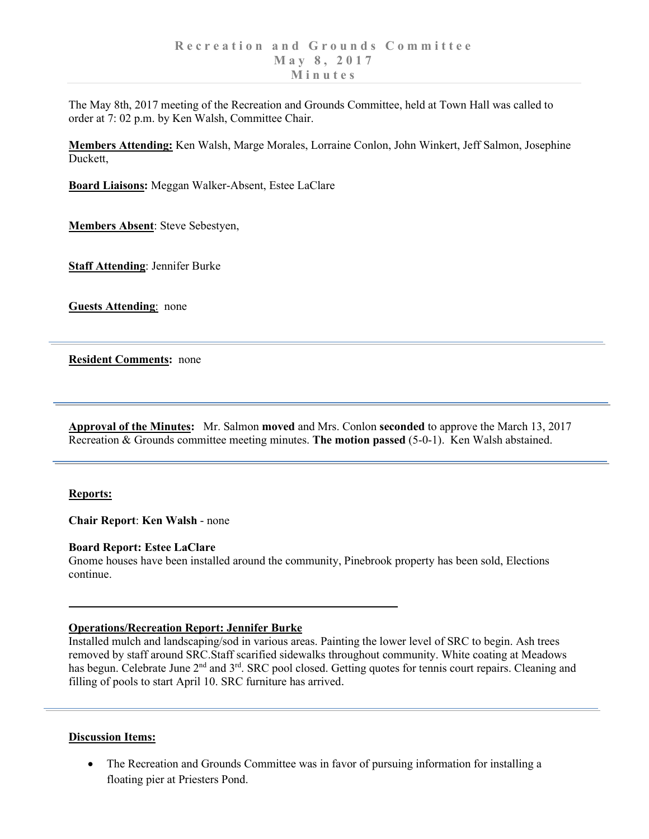The May 8th, 2017 meeting of the Recreation and Grounds Committee, held at Town Hall was called to order at 7: 02 p.m. by Ken Walsh, Committee Chair.

**Members Attending:** Ken Walsh, Marge Morales, Lorraine Conlon, John Winkert, Jeff Salmon, Josephine Duckett,

**Board Liaisons:** Meggan Walker-Absent, Estee LaClare

**Members Absent**: Steve Sebestyen,

**Staff Attending**: Jennifer Burke

**Guests Attending**: none

**Resident Comments:** none

**Approval of the Minutes:** Mr. Salmon **moved** and Mrs. Conlon **seconded** to approve the March 13, 2017 Recreation & Grounds committee meeting minutes. **The motion passed** (5-0-1). Ken Walsh abstained.

## **Reports:**

**Chair Report**: **Ken Walsh** - none

## **Board Report: Estee LaClare**

Gnome houses have been installed around the community, Pinebrook property has been sold, Elections continue.

## **Operations/Recreation Report: Jennifer Burke**

Installed mulch and landscaping/sod in various areas. Painting the lower level of SRC to begin. Ash trees removed by staff around SRC.Staff scarified sidewalks throughout community. White coating at Meadows has begun. Celebrate June 2<sup>nd</sup> and 3<sup>rd</sup>. SRC pool closed. Getting quotes for tennis court repairs. Cleaning and filling of pools to start April 10. SRC furniture has arrived.

## **Discussion Items:**

• The Recreation and Grounds Committee was in favor of pursuing information for installing a floating pier at Priesters Pond.